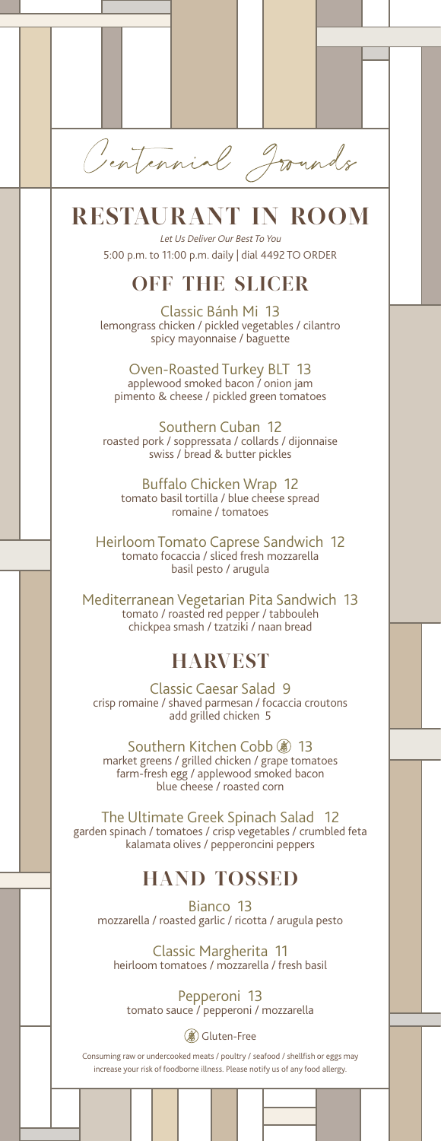